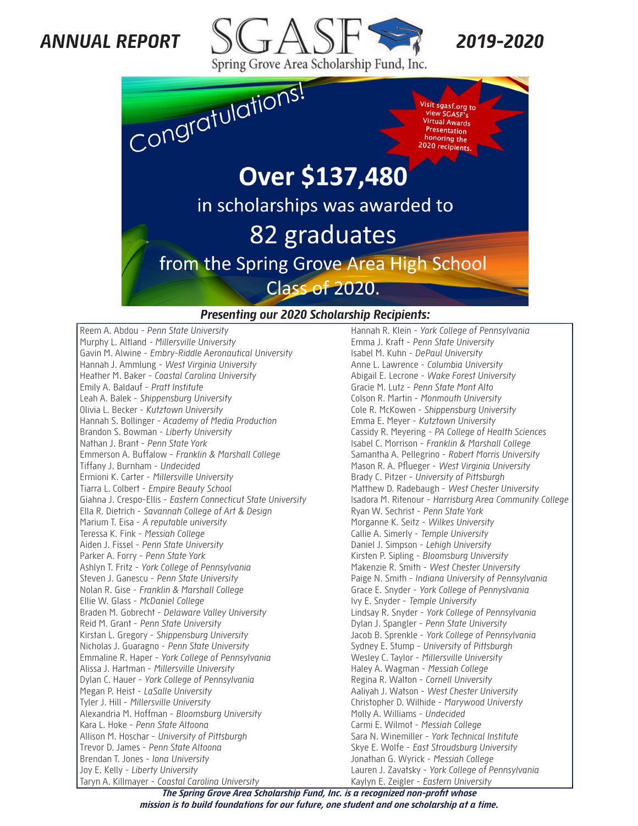## *ANNUAL REPORT*





#### *Presenting our 2020 Scholarship Recipients:*

Reem A. Abdou *- Penn State University* Murphy L. Altland *- Millersville University* Gavin M. Alwine - *Embry-Riddle Aeronautical University* Hannah J. Ammlung - *West Virginia University* Heather M. Baker - *Coastal Carolina University* Emily A. Baldauf - *Pratt Institute* Leah A. Balek - *Shippensburg University* Olivia L. Becker - *Kutztown University* Hannah S. Bollinger - *Academy of Media Production* Brandon S. Bowman - *Liberty University* Nathan J. Brant - *Penn State York* Emmerson A. Buffalow - *Franklin & Marshall College* Tiffany J. Burnham - *Undecided* Ermioni K. Carter - *Millersville University* Tiarra L. Colbert - *Empire Beauty School* Giahna J. Crespo-Ellis - *Eastern Connecticut State University* Ella R. Dietrich - *Savannah College of Art & Design* Marium T. Eisa - *A reputable university*  Teressa K. Fink - *Messiah College* Aiden J. Fissel - *Penn State University* Parker A. Forry - *Penn State York* Ashlyn T. Fritz - *York College of Pennsylvania* Steven J. Ganescu - *Penn State University* Nolan R. Gise - *Franklin & Marshall College* Ellie W. Glass - *McDaniel College* Braden M. Gobrecht - *Delaware Valley University* Reid M. Grant - *Penn State University* Kirstan L. Gregory - *Shippensburg University* Nicholas J. Guaragno - *Penn State University* Emmaline R. Haper - *York College of Pennsylvania* Alissa J. Hartman - *Millersville University* Dylan C. Hauer - *York College of Pennsylvania* Megan P. Heist - *LaSalle University* Tyler J. Hill - *Millersville University* Alexandria M. Hoffman - *Bloomsburg University* Kara L. Hoke - *Penn State Altoona* Allison M. Hoschar - *University of Pittsburgh* Trevor D. James - *Penn State Altoona* Brendan T. Jones - *Iona University* Joy E. Kelly - *Liberty University* Taryn A. Killmayer - *Coastal Carolina University*

Hannah R. Klein - *York College of Pennsylvania* Emma J. Kraft - *Penn State University* Isabel M. Kuhn - *DePaul University* Anne L. Lawrence - *Columbia University* Abigail E. Lecrone - *Wake Forest University* Gracie M. Lutz - *Penn State Mont Alto* Colson R. Martin - *Monmouth University* Cole R. McKowen - *Shippensburg University* Emma E. Meyer - *Kutztown University* Cassidy R. Meyering - *PA College of Health Sciences* Isabel C. Morrison - *Franklin & Marshall College* Samantha A. Pellegrino - *Robert Morris University* Mason R. A. Pflueger - *West Virginia University* Brady C. Pitzer - *University of Pittsburgh* Matthew D. Radebaugh - *West Chester University* Isadora M. Ritenour - *Harrisburg Area Community College* Ryan W. Sechrist - *Penn State York* Morganne K. Seitz - *Wilkes University* Callie A. Simerly - *Temple University* Daniel J. Simpson - *Lehigh University* Kirsten P. Sipling - *Bloomsburg University* Makenzie R. Smith - *West Chester University* Paige N. Smith - *Indiana University of Pennsylvania* Grace E. Snyder - *York College of Pennyslvania* Ivy E. Snyder - *Temple University* Lindsay R. Snyder - *York College of Pennsylvania* Dylan J. Spangler - *Penn State University* Jacob B. Sprenkle - *York College of Pennsylvania* Sydney E. Stump - *University of Pittsburgh* Wesley C. Taylor - *Millersville University* Haley A. Wagman - *Messiah College* Regina R. Walton - *Cornell University* Aaliyah J. Watson - *West Chester University* Christopher D. Wilhide - *Marywood Universty* Molly A. Williams - *Undecided* Carmi E. Wilmot - *Messiah College* Sara N. Winemiller - *York Technical Institute* Skye E. Wolfe - *East Stroudsburg University* Jonathan G. Wyrick - *Messiah College* Lauren J. Zavatsky - *York College of Pennsylvania* Kaylyn E. Zeigler - *Eastern University*

*2019-2020*

*The Spring Grove Area Scholarship Fund, Inc. is a recognized non-profit whose mission is to build foundations for our future, one student and one scholarship at a time.*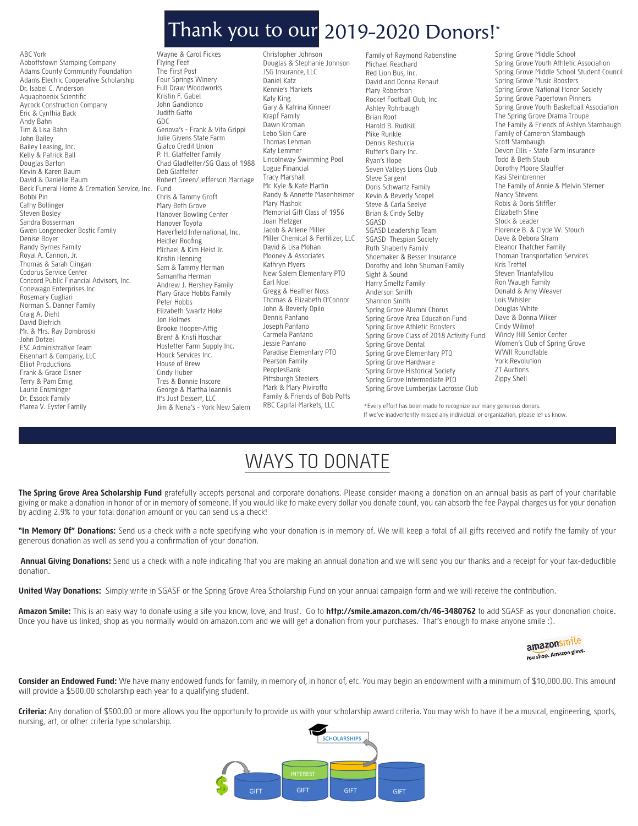## Thank you to our 2019-2020 Donors!\*

ABC York Abbottstown Stamping Company Adams County Community Foundation Adams Electric Cooperative Scholarship Dr. Isabel C. Anderson Aquaphoenix Scientific Aycock Construction Company Eric & Cynthia Back Andy Bahn Tim & Lisa Bahn John Bailey Bailey Leasing, Inc. Kelly & Patrick Ball Douglas Barton Kevin & Karen Baum David & Danielle Baum Beck Funeral Home & Cremation Service, Inc. Fund Bobbi Pin Cathy Bollinger Steven Bosley Sandra Bosserman Gwen Longenecker Bostic Family Denise Boyer Randy Byrnes Family Royal A. Cannon, Jr. Thomas & Sarah Clingan Codorus Service Center Concord Public Financial Advisors, Inc. Conewago Enterprises Inc. Rosemary Cugliari Norman S. Danner Family Craig A. Diehl David Dietrich Mr. & Mrs. Ray Dombroski John Dotzel ESC Administrative Team Eisenhart & Company, LLC Elliot Productions Frank & Grace Elsner Terry & Pam Emig Laurie Ensminger Dr. Essock Family Marea V. Eyster Family

Wayne & Carol Fickes Flying Feet The First Post Four Springs Winery Full Draw Woodworks Kristin F. Gabel John Gandionco Judith Gatto GDC Genova's - Frank & Vita Grippi Julie Givens State Farm Glatco Credit Union P. H. Glatfelter Family Chad Gladfelter/SG Class of 1988 Deb Glatfelter Robert Green/Jefferson Marriage Chris & Tammy Groft Mary Beth Grove Hanover Bowling Center Hanover Toyota Haverfield International, Inc. Heidler Roofing Michael & Kim Heist Jr. Kristin Henning Sam & Tammy Herman Samantha Herman Andrew J. Hershey Family Mary Grace Hobbs Family Peter Hobbs Elizabeth Swartz Hoke Jon Holmes Brooke Hooper-Attig Brent & Kristi Hoschar Hostetter Farm Supply Inc. Houck Services Inc. House of Brew Cindy Huber Tres & Bonnie Inscore George & Martha Ioanniis It's Just Dessert, LLC Jim & Nena's - York New Salem

Christopher Johnson Douglas & Stephanie Johnson JSG Insurance, LLC Daniel Katz Kennie's Markets Katy King Gary & Katrina Kinneer Krapf Family Dawn Kroman Lebo Skin Care Thomas Lehman Katy Lemmer Lincolnway Swimming Pool Logue Financial Tracy Marshall Mr. Kyle & Kate Martin Randy & Annette Masenheimer Mary Mashok Memorial Gift Class of 1956 Joan Metzger Jacob & Arlene Miller Miller Chemical & Fertilizer, LLC David & Lisa Mohan Mooney & Associates Kathryn Myers New Salem Elementary PTO Earl Noel Gregg & Heather Noss Thomas & Elizabeth O'Connor John & Beverly Opilo Dennis Pantano Joseph Pantano Carmela Pantano Jessie Pantano Paradise Elementary PTO Pearson Family PeoplesBank Pittsburgh Steelers Mark & Mary Pivirotto Family & Friends of Bob Potts RBC Capital Markets, LLC

Family of Raymond Rabenstine Michael Reachard Red Lion Bus, Inc. David and Donna Renaut Mary Robertson Rocket Football Club, Inc Ashley Rohrbaugh Brian Root Harold B. Rudisill Mike Runkle Dennis Restuccia Rutter's Dairy Inc. Ryan's Hope Seven Valleys Lions Club Steve Sargent Doris Schwartz Family Kevin & Beverly Scopel Steve & Carla Seelye Brian & Cindy Selby SGASD SGASD Leadership Team SGASD Thespian Society Ruth Shaberly Family Shoemaker & Besser Insurance Dorothy and John Shuman Family Sight & Sound Harry Smeltz Family Anderson Smith Shannon Smith Spring Grove Alumni Chorus Spring Grove Area Education Fund Spring Grove Athletic Boosters Spring Grove Class of 2018 Activity Fund Spring Grove Dental Spring Grove Elementary PTO Spring Grove Hardware Spring Grove Historical Society Spring Grove Intermediate PTO Spring Grove Lumberjax Lacrosse Club

Spring Grove Middle School Spring Grove Youth Athletic Association Spring Grove Middle School Student Council Spring Grove Music Boosters Spring Grove National Honor Society Spring Grove Papertown Pinners Spring Grove Youth Basketball Association The Spring Grove Drama Troupe The Family & Friends of Ashlyn Stambaugh Family of Cameron Stambaugh Scott Stambaugh Devon Ellis - State Farm Insurance Todd & Beth Staub Dorothy Moore Stauffer Kasi Steinbrenner The Family of Annie & Melvin Sterner Nancy Stevens Robis & Doris Stiffler Elizabeth Stine Stock & Leader Florence B. & Clyde W. Stouch Dave & Debora Stram Eleanor Thatcher Family Thoman Transportation Services Kris Trettel Steven Triantafyllou Ron Waugh Family Donald & Amy Weaver Lois Whisler Douglas White Dave & Donna Wiker Cindy Wilmot Windy Hill Senior Center Women's Club of Spring Grove WWII Roundtable York Revolution ZT Auctions Zippy Shell

\*Every effort has been made to recognize our many generous donors. If we've inadvertently missed any individual or organization, please let us know.

# WAYS TO DONATE

**The Spring Grove Area Scholarship Fund** gratefully accepts personal and corporate donations. Please consider making a donation on an annual basis as part of your charitable giving or make a donation in honor of or in memory of someone. If you would like to make every dollar you donate count, you can absorb the fee Paypal charges us for your donation by adding 2.9% to your total donation amount or you can send us a check!

**"In Memory Of" Donations:** Send us a check with a note specifying who your donation is in memory of. We will keep a total of all gifts received and notify the family of your generous donation as well as send you a confirmation of your donation.

**Annual Giving Donations:** Send us a check with a note indicating that you are making an annual donation and we will send you our thanks and a receipt for your tax-deductible donation.

**United Way Donations:** Simply write in SGASF or the Spring Grove Area Scholarship Fund on your annual campaign form and we will receive the contribution.

**Amazon Smile:** This is an easy way to donate using a site you know, love, and trust. Go to **http://smile.amazon.com/ch/46-3480762** to add SGASF as your dononation choice. Once you have us linked, shop as you normally would on amazon.com and we will get a donation from your purchases. That's enough to make anyone smile :).



**Consider an Endowed Fund:** We have many endowed funds for family, in memory of, in honor of, etc. You may begin an endowment with a minimum of \$10,000.00. This amount will provide a \$500.00 scholarship each year to a qualifying student.

**Criteria:** Any donation of \$500.00 or more allows you the opportunity to provide us with your scholarship award criteria. You may wish to have it be a musical, engineering, sports, nursing, art, or other criteria type scholarship.

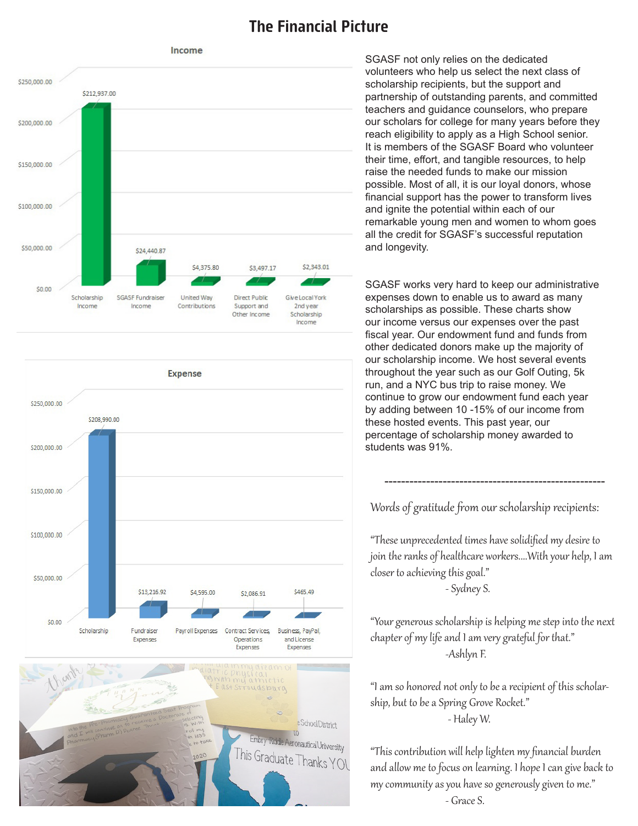#### **The Financial Picture**





SGASF not only relies on the dedicated volunteers who help us select the next class of scholarship recipients, but the support and partnership of outstanding parents, and committed teachers and guidance counselors, who prepare our scholars for college for many years before they reach eligibility to apply as a High School senior. It is members of the SGASF Board who volunteer their time, effort, and tangible resources, to help raise the needed funds to make our mission possible. Most of all, it is our loyal donors, whose financial support has the power to transform lives and ignite the potential within each of our remarkable young men and women to whom goes all the credit for SGASF's successful reputation and longevity.

SGASF works very hard to keep our administrative expenses down to enable us to award as many scholarships as possible. These charts show our income versus our expenses over the past fiscal year. Our endowment fund and funds from other dedicated donors make up the majority of our scholarship income. We host several events throughout the year such as our Golf Outing, 5k run, and a NYC bus trip to raise money. We continue to grow our endowment fund each year by adding between 10 -15% of our income from these hosted events. This past year, our percentage of scholarship money awarded to students was 91%.

Words of gratitude from our scholarship recipients:

-----------------------------------------------------

"These unprecedented times have solidified my desire to join the ranks of healthcare workers....With your help, I am closer to achieving this goal." - Sydney S.

"Your generous scholarship is helping me step into the next chapter of my life and I am very grateful for that." -Ashlyn F.

"I am so honored not only to be a recipient of this scholarship, but to be a Spring Grove Rocket." - Haley W.

"This contribution will help lighten my financial burden and allow me to focus on learning. I hope I can give back to my community as you have so generously given to me." - Grace S.